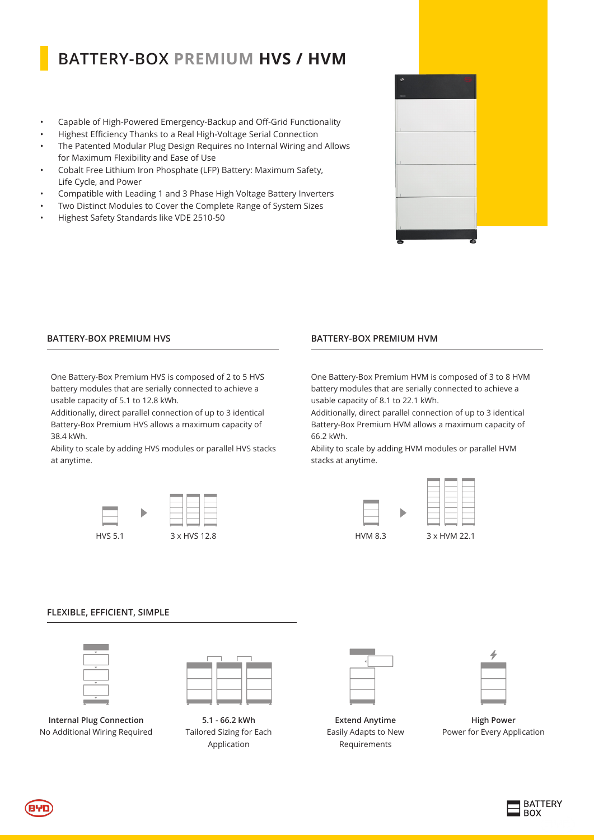# **BATTERY-BOX PREMIUM HVS / HVM**

- • Capable of High-Powered Emergency-Backup and Off-Grid Functionality
- Highest Efficiency Thanks to a Real High-Voltage Serial Connection
- • The Patented Modular Plug Design Requires no Internal Wiring and Allows for Maximum Flexibility and Ease of Use
- • Cobalt Free Lithium Iron Phosphate (LFP) Battery: Maximum Safety, Life Cycle, and Power
- Compatible with Leading 1 and 3 Phase High Voltage Battery Inverters
- Two Distinct Modules to Cover the Complete Range of System Sizes
- Highest Safety Standards like VDE 2510-50

### **BATTERY-BOX PREMIUM HVS**

One Battery-Box Premium HVS is composed of 2 to 5 HVS battery modules that are serially connected to achieve a usable capacity of 5.1 to 12.8 kWh.

Additionally, direct parallel connection of up to 3 identical Battery-Box Premium HVS allows a maximum capacity of 38.4 kWh.

Ability to scale by adding HVS modules or parallel HVS stacks at anytime.



# **BATTERY-BOX PREMIUM HVM**

One Battery-Box Premium HVM is composed of 3 to 8 HVM battery modules that are serially connected to achieve a usable capacity of 8.1 to 22.1 kWh.

Additionally, direct parallel connection of up to 3 identical Battery-Box Premium HVM allows a maximum capacity of 66.2 kWh.

Ability to scale by adding HVM modules or parallel HVM stacks at anytime.



#### **FLEXIBLE, EFFICIENT, SIMPLE**



**Internal Plug Connection** No Additional Wiring Required



**5.1 - 66.2 kWh** Tailored Sizing for Each Application

**Extend Anytime** Easily Adapts to New Requirements



**High Power** Power for Every Application